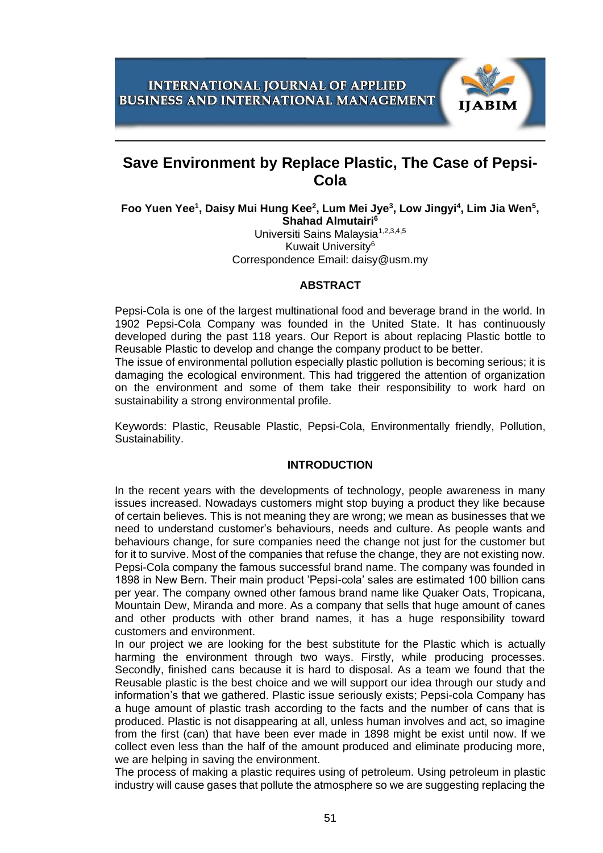

# **Save Environment by Replace Plastic, The Case of Pepsi-Cola**

Foo Yuen Yee<sup>1</sup>, Daisy Mui Hung Kee<sup>2</sup>, Lum Mei Jye<sup>3</sup>, Low Jingyi<sup>4</sup>, Lim Jia Wen<sup>5</sup>, **Shahad Almutairi<sup>6</sup>**

Universiti Sains Malavsia<sup>1,2,3,4,5</sup> Kuwait University<sup>6</sup> Correspondence Email: daisy@usm.my

#### **ABSTRACT**

Pepsi-Cola is one of the largest multinational food and beverage brand in the world. In 1902 Pepsi-Cola Company was founded in the United State. It has continuously developed during the past 118 years. Our Report is about replacing Plastic bottle to Reusable Plastic to develop and change the company product to be better.

The issue of environmental pollution especially plastic pollution is becoming serious; it is damaging the ecological environment. This had triggered the attention of organization on the environment and some of them take their responsibility to work hard on sustainability a strong environmental profile.

Keywords: Plastic, Reusable Plastic, Pepsi-Cola, Environmentally friendly, Pollution, Sustainability.

#### **INTRODUCTION**

In the recent years with the developments of technology, people awareness in many issues increased. Nowadays customers might stop buying a product they like because of certain believes. This is not meaning they are wrong; we mean as businesses that we need to understand customer's behaviours, needs and culture. As people wants and behaviours change, for sure companies need the change not just for the customer but for it to survive. Most of the companies that refuse the change, they are not existing now. Pepsi-Cola company the famous successful brand name. The company was founded in 1898 in New Bern. Their main product 'Pepsi-cola' sales are estimated 100 billion cans per year. The company owned other famous brand name like Quaker Oats, Tropicana, Mountain Dew, Miranda and more. As a company that sells that huge amount of canes and other products with other brand names, it has a huge responsibility toward customers and environment.

In our project we are looking for the best substitute for the Plastic which is actually harming the environment through two ways. Firstly, while producing processes. Secondly, finished cans because it is hard to disposal. As a team we found that the Reusable plastic is the best choice and we will support our idea through our study and information's that we gathered. Plastic issue seriously exists; Pepsi-cola Company has a huge amount of plastic trash according to the facts and the number of cans that is produced. Plastic is not disappearing at all, unless human involves and act, so imagine from the first (can) that have been ever made in 1898 might be exist until now. If we collect even less than the half of the amount produced and eliminate producing more, we are helping in saving the environment.

The process of making a plastic requires using of petroleum. Using petroleum in plastic industry will cause gases that pollute the atmosphere so we are suggesting replacing the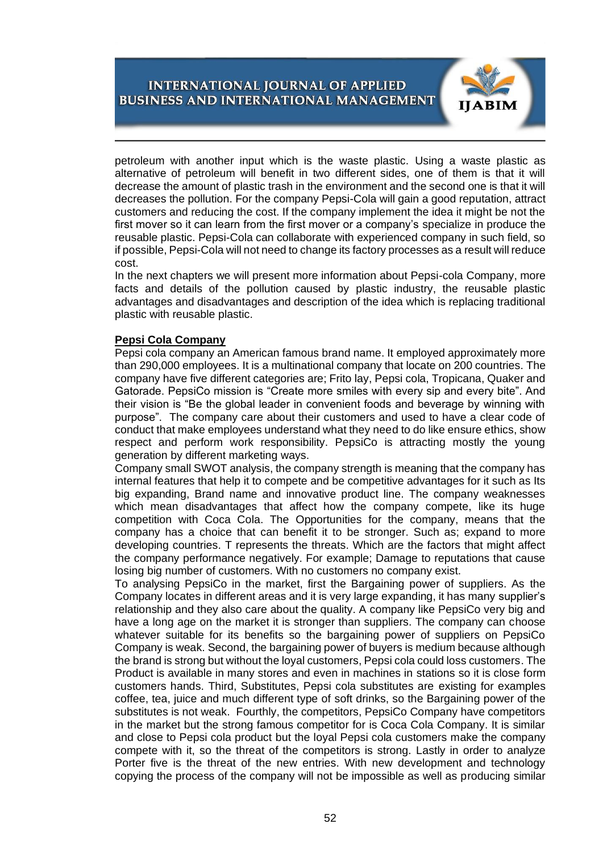

petroleum with another input which is the waste plastic. Using a waste plastic as alternative of petroleum will benefit in two different sides, one of them is that it will decrease the amount of plastic trash in the environment and the second one is that it will decreases the pollution. For the company Pepsi-Cola will gain a good reputation, attract customers and reducing the cost. If the company implement the idea it might be not the first mover so it can learn from the first mover or a company's specialize in produce the reusable plastic. Pepsi-Cola can collaborate with experienced company in such field, so if possible, Pepsi-Cola will not need to change its factory processes as a result will reduce cost.

In the next chapters we will present more information about Pepsi-cola Company, more facts and details of the pollution caused by plastic industry, the reusable plastic advantages and disadvantages and description of the idea which is replacing traditional plastic with reusable plastic.

### **Pepsi Cola Company**

Pepsi cola company an American famous brand name. It employed approximately more than 290,000 employees. It is a multinational company that locate on 200 countries. The company have five different categories are; Frito lay, Pepsi cola, Tropicana, Quaker and Gatorade. PepsiCo mission is "Create more smiles with every sip and every bite". And their vision is "Be the global leader in convenient foods and beverage by winning with purpose". The company care about their customers and used to have a clear code of conduct that make employees understand what they need to do like ensure ethics, show respect and perform work responsibility. PepsiCo is attracting mostly the young generation by different marketing ways.

Company small SWOT analysis, the company strength is meaning that the company has internal features that help it to compete and be competitive advantages for it such as Its big expanding, Brand name and innovative product line. The company weaknesses which mean disadvantages that affect how the company compete, like its huge competition with Coca Cola. The Opportunities for the company, means that the company has a choice that can benefit it to be stronger. Such as; expand to more developing countries. T represents the threats. Which are the factors that might affect the company performance negatively. For example; Damage to reputations that cause losing big number of customers. With no customers no company exist.

To analysing PepsiCo in the market, first the Bargaining power of suppliers. As the Company locates in different areas and it is very large expanding, it has many supplier's relationship and they also care about the quality. A company like PepsiCo very big and have a long age on the market it is stronger than suppliers. The company can choose whatever suitable for its benefits so the bargaining power of suppliers on PepsiCo Company is weak. Second, the bargaining power of buyers is medium because although the brand is strong but without the loyal customers, Pepsi cola could loss customers. The Product is available in many stores and even in machines in stations so it is close form customers hands. Third, Substitutes, Pepsi cola substitutes are existing for examples coffee, tea, juice and much different type of soft drinks, so the Bargaining power of the substitutes is not weak. Fourthly, the competitors, PepsiCo Company have competitors in the market but the strong famous competitor for is Coca Cola Company. It is similar and close to Pepsi cola product but the loyal Pepsi cola customers make the company compete with it, so the threat of the competitors is strong. Lastly in order to analyze Porter five is the threat of the new entries. With new development and technology copying the process of the company will not be impossible as well as producing similar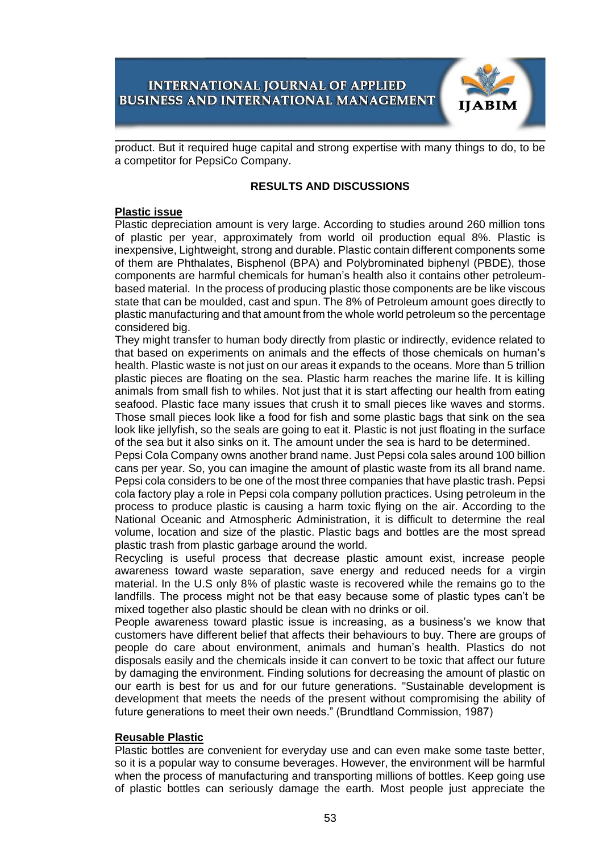

product. But it required huge capital and strong expertise with many things to do, to be a competitor for PepsiCo Company.

#### **RESULTS AND DISCUSSIONS**

#### **Plastic issue**

Plastic depreciation amount is very large. According to studies around 260 million tons of plastic per year, approximately from world oil production equal 8%. Plastic is inexpensive, Lightweight, strong and durable. Plastic contain different components some of them are Phthalates, Bisphenol (BPA) and Polybrominated biphenyl (PBDE), those components are harmful chemicals for human's health also it contains other petroleumbased material. In the process of producing plastic those components are be like viscous state that can be moulded, cast and spun. The 8% of Petroleum amount goes directly to plastic manufacturing and that amount from the whole world petroleum so the percentage considered big.

They might transfer to human body directly from plastic or indirectly, evidence related to that based on experiments on animals and the effects of those chemicals on human's health. Plastic waste is not just on our areas it expands to the oceans. More than 5 trillion plastic pieces are floating on the sea. Plastic harm reaches the marine life. It is killing animals from small fish to whiles. Not just that it is start affecting our health from eating seafood. Plastic face many issues that crush it to small pieces like waves and storms. Those small pieces look like a food for fish and some plastic bags that sink on the sea look like jellyfish, so the seals are going to eat it. Plastic is not just floating in the surface of the sea but it also sinks on it. The amount under the sea is hard to be determined.

Pepsi Cola Company owns another brand name. Just Pepsi cola sales around 100 billion cans per year. So, you can imagine the amount of plastic waste from its all brand name. Pepsi cola considers to be one of the most three companies that have plastic trash. Pepsi cola factory play a role in Pepsi cola company pollution practices. Using petroleum in the process to produce plastic is causing a harm toxic flying on the air. According to the National Oceanic and Atmospheric Administration, it is difficult to determine the real volume, location and size of the plastic. Plastic bags and bottles are the most spread plastic trash from plastic garbage around the world.

Recycling is useful process that decrease plastic amount exist, increase people awareness toward waste separation, save energy and reduced needs for a virgin material. In the U.S only 8% of plastic waste is recovered while the remains go to the landfills. The process might not be that easy because some of plastic types can't be mixed together also plastic should be clean with no drinks or oil.

People awareness toward plastic issue is increasing, as a business's we know that customers have different belief that affects their behaviours to buy. There are groups of people do care about environment, animals and human's health. Plastics do not disposals easily and the chemicals inside it can convert to be toxic that affect our future by damaging the environment. Finding solutions for decreasing the amount of plastic on our earth is best for us and for our future generations. "Sustainable development is development that meets the needs of the present without compromising the ability of future generations to meet their own needs." (Brundtland Commission, 1987)

#### **Reusable Plastic**

Plastic bottles are convenient for everyday use and can even make some taste better, so it is a popular way to consume beverages. However, the environment will be harmful when the process of manufacturing and transporting millions of bottles. Keep going use of plastic bottles can seriously damage the earth. Most people just appreciate the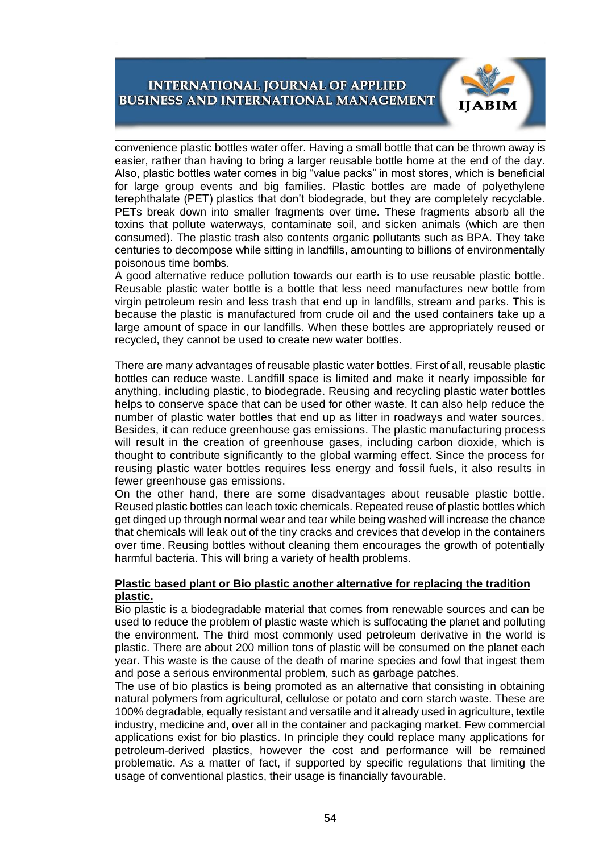

convenience plastic bottles water offer. Having a small bottle that can be thrown away is easier, rather than having to bring a larger reusable bottle home at the end of the day. Also, plastic bottles water comes in big "value packs" in most stores, which is beneficial for large group events and big families. Plastic bottles are made of polyethylene terephthalate (PET) plastics that don't biodegrade, but they are completely recyclable. PETs break down into smaller fragments over time. These fragments absorb all the toxins that pollute waterways, contaminate soil, and sicken animals (which are then consumed). The plastic trash also contents organic pollutants such as BPA. They take centuries to decompose while sitting in landfills, amounting to billions of environmentally poisonous time bombs.

A good alternative reduce pollution towards our earth is to use reusable plastic bottle. Reusable plastic water bottle is a bottle that less need manufactures new bottle from virgin petroleum resin and less trash that end up in landfills, stream and parks. This is because the plastic is manufactured from crude oil and the used containers take up a large amount of space in our landfills. When these bottles are appropriately reused or recycled, they cannot be used to create new water bottles.

There are many advantages of reusable plastic water bottles. First of all, reusable plastic bottles can reduce waste. Landfill space is limited and make it nearly impossible for anything, including plastic, to biodegrade. Reusing and recycling plastic water bottles helps to conserve space that can be used for other waste. It can also help reduce the number of plastic water bottles that end up as litter in roadways and water sources. Besides, it can reduce greenhouse gas emissions. The plastic manufacturing process will result in the creation of greenhouse gases, including carbon dioxide, which is thought to contribute significantly to the global warming effect. Since the process for reusing plastic water bottles requires less energy and fossil fuels, it also results in fewer greenhouse gas emissions.

On the other hand, there are some disadvantages about reusable plastic bottle. Reused plastic bottles can leach toxic chemicals. Repeated reuse of plastic bottles which get dinged up through normal wear and tear while being washed will increase the chance that chemicals will leak out of the tiny cracks and crevices that develop in the containers over time. Reusing bottles without cleaning them encourages the growth of potentially harmful bacteria. This will bring a variety of health problems.

#### **Plastic based plant or Bio plastic another alternative for replacing the tradition plastic.**

Bio plastic is a biodegradable material that comes from renewable sources and can be used to reduce the problem of plastic waste which is suffocating the planet and polluting the environment. The third most commonly used petroleum derivative in the world is plastic. There are about 200 million tons of plastic will be consumed on the planet each year. This waste is the cause of the death of marine species and fowl that ingest them and pose a serious environmental problem, such as garbage patches.

The use of bio plastics is being promoted as an alternative that consisting in obtaining natural polymers from agricultural, cellulose or potato and corn starch waste. These are 100% degradable, equally resistant and versatile and it already used in agriculture, textile industry, medicine and, over all in the container and packaging market. Few commercial applications exist for bio plastics. In principle they could replace many applications for petroleum-derived plastics, however the cost and performance will be remained problematic. As a matter of fact, if supported by specific regulations that limiting the usage of conventional plastics, their usage is financially favourable.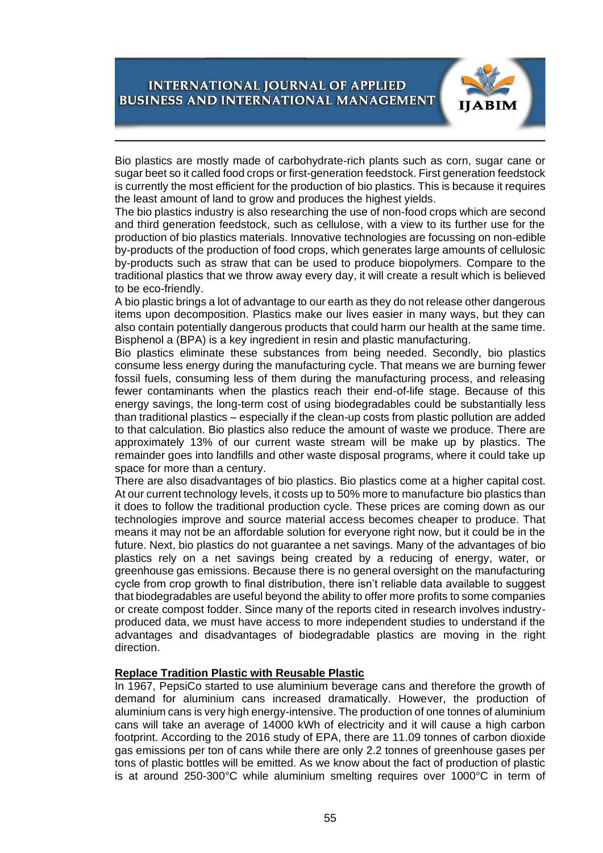

Bio plastics are mostly made of carbohydrate-rich plants such as corn, sugar cane or sugar beet so it called food crops or first-generation feedstock. First generation feedstock is currently the most efficient for the production of bio plastics. This is because it requires the least amount of land to grow and produces the highest yields.

The bio plastics industry is also researching the use of non-food crops which are second and third generation feedstock, such as cellulose, with a view to its further use for the production of bio plastics materials. Innovative technologies are focussing on non-edible by-products of the production of food crops, which generates large amounts of cellulosic by-products such as straw that can be used to produce biopolymers. Compare to the traditional plastics that we throw away every day, it will create a result which is believed to be eco-friendly.

A bio plastic brings a lot of advantage to our earth as they do not release other dangerous items upon decomposition. Plastics make our lives easier in many ways, but they can also contain potentially dangerous products that could harm our health at the same time. Bisphenol a (BPA) is a key ingredient in resin and plastic manufacturing.

Bio plastics eliminate these substances from being needed. Secondly, bio plastics consume less energy during the manufacturing cycle. That means we are burning fewer fossil fuels, consuming less of them during the manufacturing process, and releasing fewer contaminants when the plastics reach their end-of-life stage. Because of this energy savings, the long-term cost of using biodegradables could be substantially less than traditional plastics – especially if the clean-up costs from plastic pollution are added to that calculation. Bio plastics also reduce the amount of waste we produce. There are approximately 13% of our current waste stream will be make up by plastics. The remainder goes into landfills and other waste disposal programs, where it could take up space for more than a century.

There are also disadvantages of bio plastics. Bio plastics come at a higher capital cost. At our current technology levels, it costs up to 50% more to manufacture bio plastics than it does to follow the traditional production cycle. These prices are coming down as our technologies improve and source material access becomes cheaper to produce. That means it may not be an affordable solution for everyone right now, but it could be in the future. Next, bio plastics do not guarantee a net savings. Many of the advantages of bio plastics rely on a net savings being created by a reducing of energy, water, or greenhouse gas emissions. Because there is no general oversight on the manufacturing cycle from crop growth to final distribution, there isn't reliable data available to suggest that biodegradables are useful beyond the ability to offer more profits to some companies or create compost fodder. Since many of the reports cited in research involves industryproduced data, we must have access to more independent studies to understand if the advantages and disadvantages of biodegradable plastics are moving in the right direction.

#### **Replace Tradition Plastic with Reusable Plastic**

In 1967, PepsiCo started to use aluminium beverage cans and therefore the growth of demand for aluminium cans increased dramatically. However, the production of aluminium cans is very high energy-intensive. The production of one tonnes of aluminium cans will take an average of 14000 kWh of electricity and it will cause a high carbon footprint. According to the 2016 study of EPA, there are 11.09 tonnes of carbon dioxide gas emissions per ton of cans while there are only 2.2 tonnes of greenhouse gases per tons of plastic bottles will be emitted. As we know about the fact of production of plastic is at around 250-300°C while aluminium smelting requires over 1000°C in term of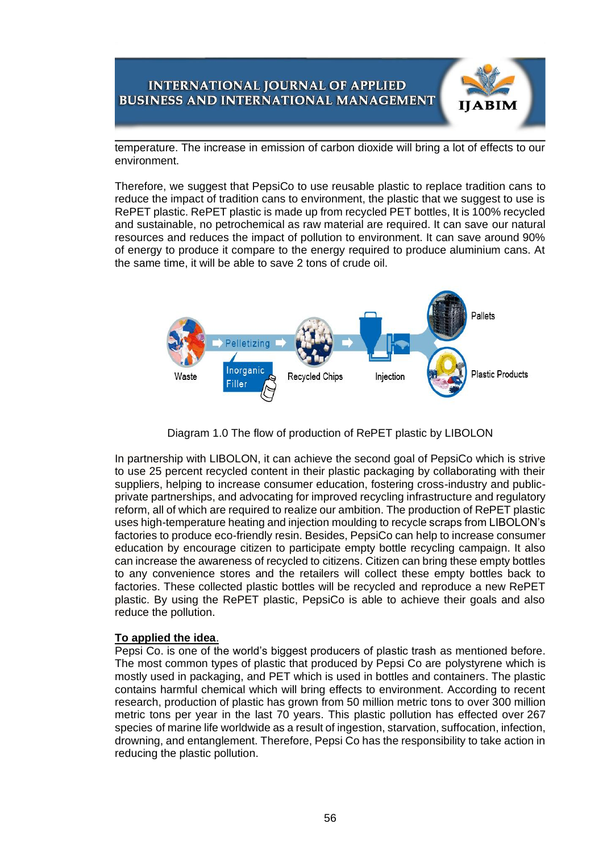temperature. The increase in emission of carbon dioxide will bring a lot of effects to our environment.

**IIABIM** 

Therefore, we suggest that PepsiCo to use reusable plastic to replace tradition cans to reduce the impact of tradition cans to environment, the plastic that we suggest to use is RePET plastic. RePET plastic is made up from recycled PET bottles, It is 100% recycled and sustainable, no petrochemical as raw material are required. It can save our natural resources and reduces the impact of pollution to environment. It can save around 90% of energy to produce it compare to the energy required to produce aluminium cans. At the same time, it will be able to save 2 tons of crude oil.



Diagram 1.0 The flow of production of RePET plastic by LIBOLON

In partnership with LIBOLON, it can achieve the second goal of PepsiCo which is strive to use 25 percent recycled content in their plastic packaging by collaborating with their suppliers, helping to increase consumer education, fostering cross-industry and publicprivate partnerships, and advocating for improved recycling infrastructure and regulatory reform, all of which are required to realize our ambition. The production of RePET plastic uses high-temperature heating and injection moulding to recycle scraps from LIBOLON's factories to produce eco-friendly resin. Besides, PepsiCo can help to increase consumer education by encourage citizen to participate empty bottle recycling campaign. It also can increase the awareness of recycled to citizens. Citizen can bring these empty bottles to any convenience stores and the retailers will collect these empty bottles back to factories. These collected plastic bottles will be recycled and reproduce a new RePET plastic. By using the RePET plastic, PepsiCo is able to achieve their goals and also reduce the pollution.

#### **To applied the idea**.

Pepsi Co. is one of the world's biggest producers of plastic trash as mentioned before. The most common types of plastic that produced by Pepsi Co are polystyrene which is mostly used in packaging, and PET which is used in bottles and containers. The plastic contains harmful chemical which will bring effects to environment. According to recent research, production of plastic [has grown](https://www.annualreviews.org/doi/pdf/10.1146/annurev-marine-010816-060409) from 50 million metric tons to over 300 million metric tons per year in the last 70 years. This plastic pollution has effected over [267](https://www.cleanwater.org/problem-marine-plastic-pollution)  [species](https://www.cleanwater.org/problem-marine-plastic-pollution) of marine life worldwide as a result of ingestion, starvation, suffocation, infection, drowning, and entanglement. Therefore, Pepsi Co has the responsibility to take action in reducing the plastic pollution.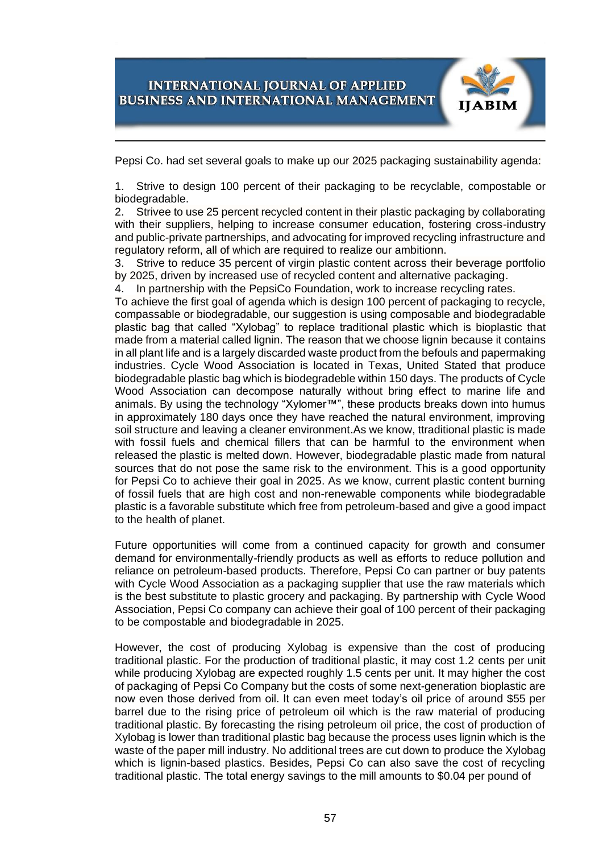

Pepsi Co. had set several goals to make up our 2025 packaging [sustainability agenda:](http://www.pepsico.com/sustainability/performance-with-purpose)

1. Strive to design 100 percent of their packaging to be recyclable, compostable or biodegradable.

2. Strivee to use 25 percent recycled content in their plastic packaging by collaborating with their suppliers, helping to increase consumer education, fostering cross-industry and public-private partnerships, and advocating for improved recycling infrastructure and regulatory reform, all of which are required to realize our ambitionn.

3. Strive to reduce 35 percent of virgin plastic content across their beverage portfolio by 2025, driven by increased use of recycled content and alternative packaging.

4. In partnership with the PepsiCo Foundation, work to increase recycling rates.

To achieve the first goal of agenda which is design 100 percent of packaging to recycle, compassable or biodegradable, our suggestion is using composable and biodegradable plastic bag that called "Xylobag" to replace traditional plastic which is bioplastic that made from a material called lignin. The reason that we choose lignin because it contains in all plant life and is a largely discarded waste product from the befouls and papermaking industries. Cycle Wood Association is located in Texas, United Stated that produce biodegradable plastic bag which is biodegradeble within 150 days. The products of Cycle Wood Association can decompose naturally without bring effect to marine life and animals. By using the technology "Xylomer™", these products breaks down into humus in approximately 180 days once they have reached the natural environment, improving soil structure and leaving a cleaner environment.As we know, ttraditional plastic is made with fossil fuels and chemical fillers that can be harmful to the environment when released the plastic is melted down. However, biodegradable plastic made from natural sources that do not pose the same risk to the environment. This is a good opportunity for Pepsi Co to achieve their goal in 2025. As we know, current plastic content burning of fossil fuels that are high cost and non-renewable components while biodegradable plastic is a favorable substitute which free from petroleum-based and give a good impact to the health of planet.

Future opportunities will come from a continued capacity for growth and consumer demand for environmentally-friendly products as well as efforts to reduce pollution and reliance on petroleum-based products. Therefore, Pepsi Co can partner or buy patents with Cycle Wood Association as a packaging supplier that use the raw materials which is the best substitute to plastic grocery and packaging. By partnership with Cycle Wood Association, Pepsi Co company can achieve their goal of 100 percent of their packaging to be compostable and biodegradable in 2025.

However, the cost of producing Xylobag is expensive than the cost of producing traditional plastic. For the production of traditional plastic, it may cost 1.2 cents per unit while producing Xylobag are expected roughly 1.5 cents per unit. It may higher the cost of packaging of Pepsi Co Company but the costs of some next-generation bioplastic are now even those derived from oil. It can even meet today's oil price of around \$55 per barrel due to the rising price of petroleum oil which is the raw material of producing traditional plastic. By forecasting the rising petroleum oil price, the cost of production of Xylobag is lower than traditional plastic bag because the process uses lignin which is the waste of the paper mill industry. No additional trees are cut down to produce the Xylobag which is lignin-based plastics. Besides, Pepsi Co can also save the cost of recycling traditional plastic. The total energy savings to the mill amounts to \$0.04 per pound of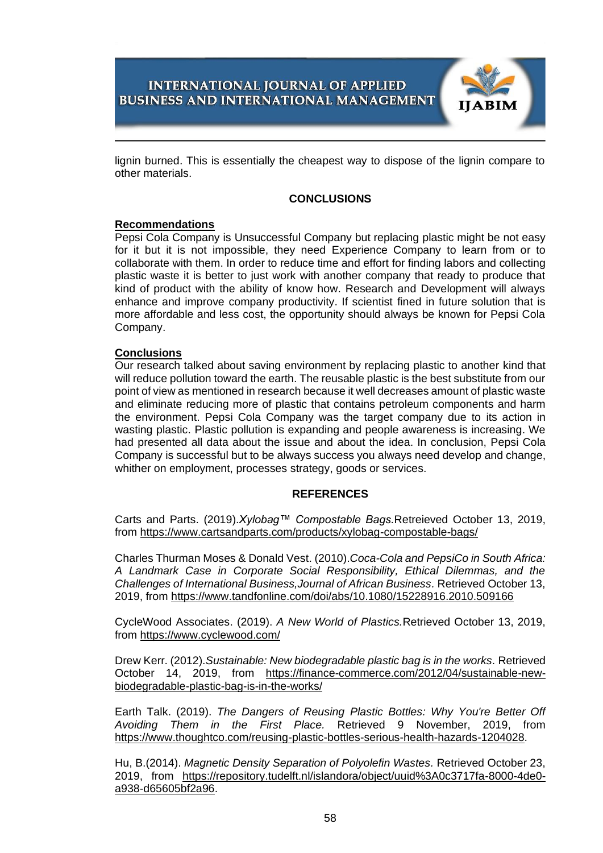

lignin burned. This is essentially the cheapest way to dispose of the lignin compare to other materials.

### **CONCLUSIONS**

### **Recommendations**

Pepsi Cola Company is Unsuccessful Company but replacing plastic might be not easy for it but it is not impossible, they need Experience Company to learn from or to collaborate with them. In order to reduce time and effort for finding labors and collecting plastic waste it is better to just work with another company that ready to produce that kind of product with the ability of know how. Research and Development will always enhance and improve company productivity. If scientist fined in future solution that is more affordable and less cost, the opportunity should always be known for Pepsi Cola Company.

### **Conclusions**

Our research talked about saving environment by replacing plastic to another kind that will reduce pollution toward the earth. The reusable plastic is the best substitute from our point of view as mentioned in research because it well decreases amount of plastic waste and eliminate reducing more of plastic that contains petroleum components and harm the environment. Pepsi Cola Company was the target company due to its action in wasting plastic. Plastic pollution is expanding and people awareness is increasing. We had presented all data about the issue and about the idea. In conclusion, Pepsi Cola Company is successful but to be always success you always need develop and change, whither on employment, processes strategy, goods or services.

#### **REFERENCES**

Carts and Parts. (2019).*Xylobag™ Compostable Bags.*Retreieved October 13, 2019, from<https://www.cartsandparts.com/products/xylobag-compostable-bags/>

Charles Thurman Moses & Donald Vest. (2010).*Coca-Cola and PepsiCo in South Africa: A Landmark Case in Corporate Social Responsibility, Ethical Dilemmas, and the Challenges of International Business,Journal of African Business.* Retrieved October 13, 2019, from<https://www.tandfonline.com/doi/abs/10.1080/15228916.2010.509166>

CycleWood Associates. (2019). *A New World of Plastics.*Retrieved October 13, 2019, from<https://www.cyclewood.com/>

Drew Kerr. (2012).*Sustainable: New biodegradable plastic bag is in the works.* Retrieved October 14, 2019, from [https://finance-commerce.com/2012/04/sustainable-new](https://finance-commerce.com/2012/04/sustainable-new-biodegradable-plastic-bag-is-in-the-works/)[biodegradable-plastic-bag-is-in-the-works/](https://finance-commerce.com/2012/04/sustainable-new-biodegradable-plastic-bag-is-in-the-works/)

Earth Talk. (2019). *The Dangers of Reusing Plastic Bottles: Why You're Better Off Avoiding Them in the First Place.* Retrieved 9 November, 2019, from [https://www.thoughtco.com/reusing-plastic-bottles-serious-health-hazards-1204028.](https://www.thoughtco.com/reusing-plastic-bottles-serious-health-hazards-1204028)

[Hu, B.\(](https://repository.tudelft.nl/islandora/search/author:)2014). *Magnetic Density Separation of Polyolefin Wastes.* Retrieved October 23, 2019, from [https://repository.tudelft.nl/islandora/object/uuid%3A0c3717fa-8000-4de0](https://repository.tudelft.nl/islandora/object/uuid%3A0c3717fa-8000-4de0-a938-d65605bf2a96) [a938-d65605bf2a96.](https://repository.tudelft.nl/islandora/object/uuid%3A0c3717fa-8000-4de0-a938-d65605bf2a96)